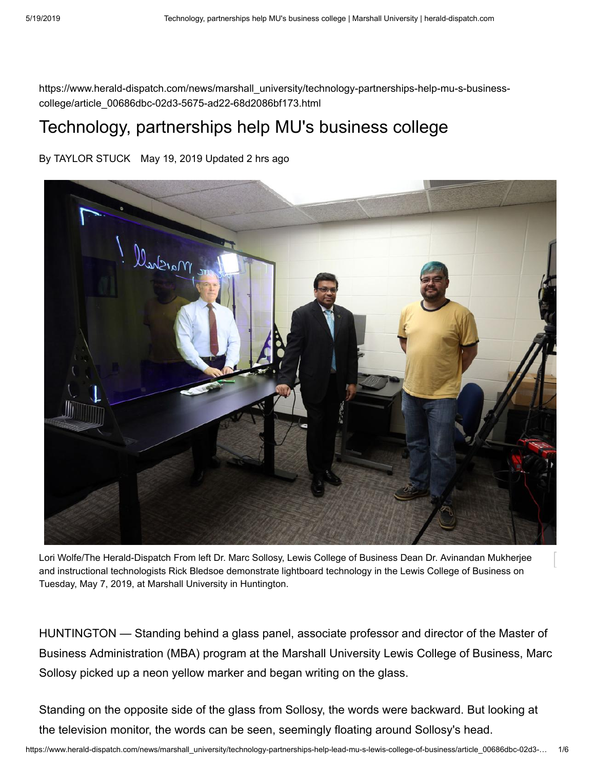https://www.herald-dispatch.com/news/marshall\_university/technology-partnerships-help-mu-s-businesscollege/article\_00686dbc-02d3-5675-ad22-68d2086bf173.html

# Technology, partnerships help MU's business college

By TAYLOR STUCK May 19, 2019 Updated 2 hrs ago



Lori Wolfe/The Herald-Dispatch From left Dr. Marc Sollosy, Lewis College of Business Dean Dr. Avinandan Mukherjee and instructional technologists Rick Bledsoe demonstrate lightboard technology in the Lewis College of Business on Tuesday, May 7, 2019, at Marshall University in Huntington.

HUNTINGTON — Standing behind a glass panel, associate professor and director of the Master of Business Administration (MBA) program at the Marshall University Lewis College of Business, Marc Sollosy picked up a neon yellow marker and began writing on the glass.

Standing on the opposite side of the glass from Sollosy, the words were backward. But looking at the television monitor, the words can be seen, seemingly floating around Sollosy's head.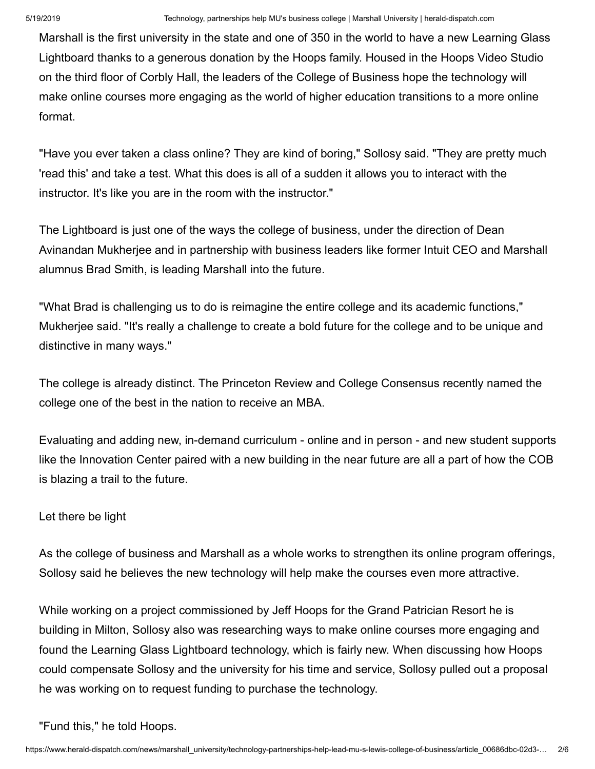Marshall is the first university in the state and one of 350 in the world to have a new Learning Glass Lightboard thanks to a generous donation by the Hoops family. Housed in the Hoops Video Studio on the third floor of Corbly Hall, the leaders of the College of Business hope the technology will make online courses more engaging as the world of higher education transitions to a more online format.

"Have you ever taken a class online? They are kind of boring," Sollosy said. "They are pretty much 'read this' and take a test. What this does is all of a sudden it allows you to interact with the instructor. It's like you are in the room with the instructor."

The Lightboard is just one of the ways the college of business, under the direction of Dean Avinandan Mukherjee and in partnership with business leaders like former Intuit CEO and Marshall alumnus Brad Smith, is leading Marshall into the future.

"What Brad is challenging us to do is reimagine the entire college and its academic functions," Mukherjee said. "It's really a challenge to create a bold future for the college and to be unique and distinctive in many ways."

The college is already distinct. The Princeton Review and College Consensus recently named the college one of the best in the nation to receive an MBA.

Evaluating and adding new, in-demand curriculum - online and in person - and new student supports like the Innovation Center paired with a new building in the near future are all a part of how the COB is blazing a trail to the future.

### Let there be light

As the college of business and Marshall as a whole works to strengthen its online program offerings, Sollosy said he believes the new technology will help make the courses even more attractive.

While working on a project commissioned by Jeff Hoops for the Grand Patrician Resort he is building in Milton, Sollosy also was researching ways to make online courses more engaging and found the Learning Glass Lightboard technology, which is fairly new. When discussing how Hoops could compensate Sollosy and the university for his time and service, Sollosy pulled out a proposal he was working on to request funding to purchase the technology.

#### "Fund this," he told Hoops.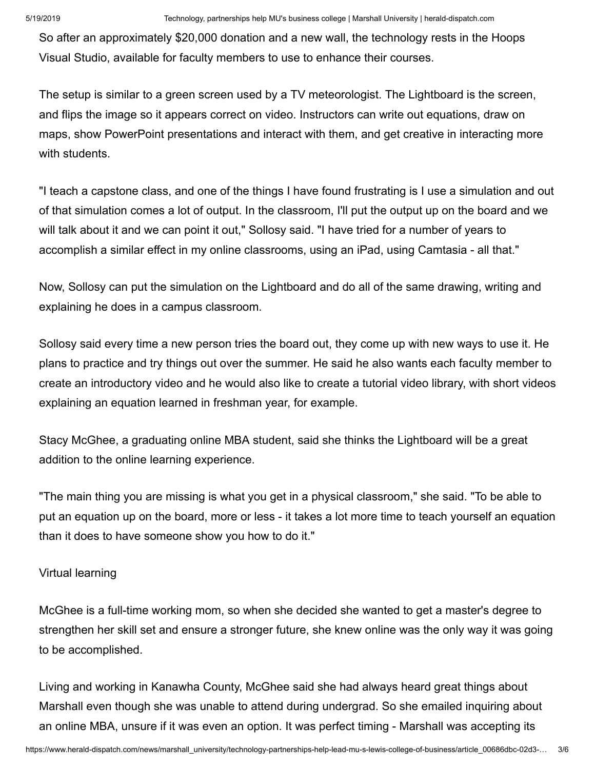So after an approximately \$20,000 donation and a new wall, the technology rests in the Hoops Visual Studio, available for faculty members to use to enhance their courses.

The setup is similar to a green screen used by a TV meteorologist. The Lightboard is the screen, and flips the image so it appears correct on video. Instructors can write out equations, draw on maps, show PowerPoint presentations and interact with them, and get creative in interacting more with students.

"I teach a capstone class, and one of the things I have found frustrating is I use a simulation and out of that simulation comes a lot of output. In the classroom, I'll put the output up on the board and we will talk about it and we can point it out," Sollosy said. "I have tried for a number of years to accomplish a similar effect in my online classrooms, using an iPad, using Camtasia - all that."

Now, Sollosy can put the simulation on the Lightboard and do all of the same drawing, writing and explaining he does in a campus classroom.

Sollosy said every time a new person tries the board out, they come up with new ways to use it. He plans to practice and try things out over the summer. He said he also wants each faculty member to create an introductory video and he would also like to create a tutorial video library, with short videos explaining an equation learned in freshman year, for example.

Stacy McGhee, a graduating online MBA student, said she thinks the Lightboard will be a great addition to the online learning experience.

"The main thing you are missing is what you get in a physical classroom," she said. "To be able to put an equation up on the board, more or less - it takes a lot more time to teach yourself an equation than it does to have someone show you how to do it."

### Virtual learning

McGhee is a full-time working mom, so when she decided she wanted to get a master's degree to strengthen her skill set and ensure a stronger future, she knew online was the only way it was going to be accomplished.

Living and working in Kanawha County, McGhee said she had always heard great things about Marshall even though she was unable to attend during undergrad. So she emailed inquiring about an online MBA, unsure if it was even an option. It was perfect timing - Marshall was accepting its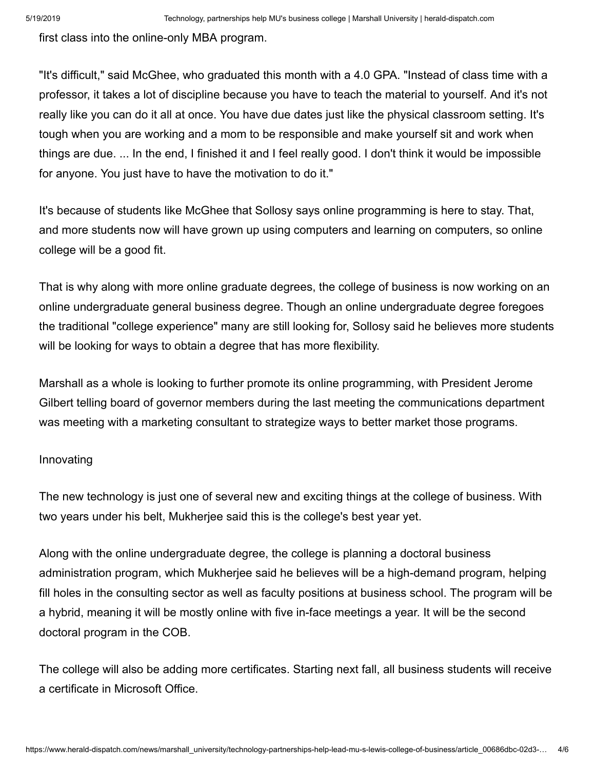first class into the online-only MBA program.

"It's difficult," said McGhee, who graduated this month with a 4.0 GPA. "Instead of class time with a professor, it takes a lot of discipline because you have to teach the material to yourself. And it's not really like you can do it all at once. You have due dates just like the physical classroom setting. It's tough when you are working and a mom to be responsible and make yourself sit and work when things are due. ... In the end, I finished it and I feel really good. I don't think it would be impossible for anyone. You just have to have the motivation to do it."

It's because of students like McGhee that Sollosy says online programming is here to stay. That, and more students now will have grown up using computers and learning on computers, so online college will be a good fit.

That is why along with more online graduate degrees, the college of business is now working on an online undergraduate general business degree. Though an online undergraduate degree foregoes the traditional "college experience" many are still looking for, Sollosy said he believes more students will be looking for ways to obtain a degree that has more flexibility.

Marshall as a whole is looking to further promote its online programming, with President Jerome Gilbert telling board of governor members during the last meeting the communications department was meeting with a marketing consultant to strategize ways to better market those programs.

#### Innovating

The new technology is just one of several new and exciting things at the college of business. With two years under his belt, Mukherjee said this is the college's best year yet.

Along with the online undergraduate degree, the college is planning a doctoral business administration program, which Mukherjee said he believes will be a high-demand program, helping fill holes in the consulting sector as well as faculty positions at business school. The program will be a hybrid, meaning it will be mostly online with five in-face meetings a year. It will be the second doctoral program in the COB.

The college will also be adding more certificates. Starting next fall, all business students will receive a certificate in Microsoft Office.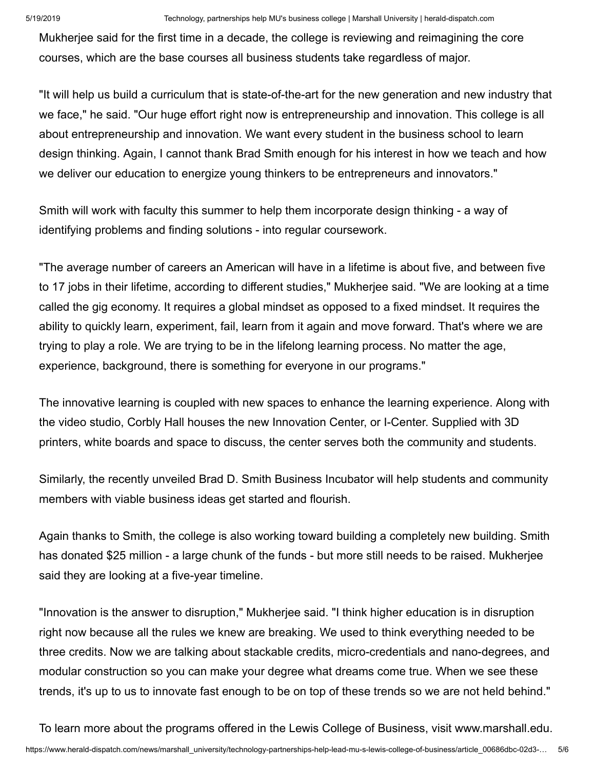Mukherjee said for the first time in a decade, the college is reviewing and reimagining the core courses, which are the base courses all business students take regardless of major.

"It will help us build a curriculum that is state-of-the-art for the new generation and new industry that we face," he said. "Our huge effort right now is entrepreneurship and innovation. This college is all about entrepreneurship and innovation. We want every student in the business school to learn design thinking. Again, I cannot thank Brad Smith enough for his interest in how we teach and how we deliver our education to energize young thinkers to be entrepreneurs and innovators."

Smith will work with faculty this summer to help them incorporate design thinking - a way of identifying problems and finding solutions - into regular coursework.

"The average number of careers an American will have in a lifetime is about five, and between five to 17 jobs in their lifetime, according to different studies," Mukherjee said. "We are looking at a time called the gig economy. It requires a global mindset as opposed to a fixed mindset. It requires the ability to quickly learn, experiment, fail, learn from it again and move forward. That's where we are trying to play a role. We are trying to be in the lifelong learning process. No matter the age, experience, background, there is something for everyone in our programs."

The innovative learning is coupled with new spaces to enhance the learning experience. Along with the video studio, Corbly Hall houses the new Innovation Center, or I-Center. Supplied with 3D printers, white boards and space to discuss, the center serves both the community and students.

Similarly, the recently unveiled Brad D. Smith Business Incubator will help students and community members with viable business ideas get started and flourish.

Again thanks to Smith, the college is also working toward building a completely new building. Smith has donated \$25 million - a large chunk of the funds - but more still needs to be raised. Mukherjee said they are looking at a five-year timeline.

"Innovation is the answer to disruption," Mukherjee said. "I think higher education is in disruption right now because all the rules we knew are breaking. We used to think everything needed to be three credits. Now we are talking about stackable credits, micro-credentials and nano-degrees, and modular construction so you can make your degree what dreams come true. When we see these trends, it's up to us to innovate fast enough to be on top of these trends so we are not held behind."

To learn more about the programs offered in the Lewis College of Business, visit [www.marshall.edu.](http://www.marshall.edu/)